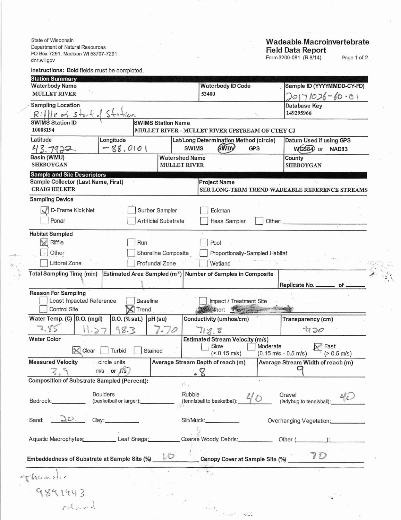State of Wisconsin Department of Natural Resourc  $\overline{R}$  $\mathsf{d}$ 

Thomasher<br>9891943

## **Wadeable Macroinvertebrate** Report

| Dupartificiti un indici di Resultives<br>PO Box 7291, Madison WI 53707-7291 |                                       |                                              |                                                               |                                                    | <b>Field Data Report</b><br>Form 3200-081 (R 8/14) | Page 1 of 2              |
|-----------------------------------------------------------------------------|---------------------------------------|----------------------------------------------|---------------------------------------------------------------|----------------------------------------------------|----------------------------------------------------|--------------------------|
| dnr.w i.gov                                                                 |                                       |                                              |                                                               |                                                    |                                                    |                          |
| Instructions: Bold fields must be completed.<br><b>Station Summary</b>      |                                       |                                              |                                                               |                                                    |                                                    |                          |
| <b>Waterbody Name</b>                                                       |                                       |                                              |                                                               | <b>Waterbody ID Code</b>                           | Sample ID (YYYYMMDD-CY-FD)                         |                          |
| <b>MULLET RIVER</b>                                                         |                                       |                                              | 53400                                                         | 20171026-60.01                                     |                                                    |                          |
| <b>Sampling Location</b>                                                    |                                       |                                              |                                                               |                                                    | Database Key<br>149295966                          |                          |
| $R:$ $   v \neq s++$ $ s++$<br>swims station ID                             |                                       | <b>SWIMS Station Name</b>                    |                                                               |                                                    |                                                    |                          |
| 10008194                                                                    |                                       |                                              | MULLET RIVER - MULLET RIVER UPSTREAM OF CTHY CJ               |                                                    |                                                    |                          |
| Latitude                                                                    | Longitude                             |                                              | Lat/Long Determination Method (circle)                        |                                                    | Datum Used if using GPS                            |                          |
| 43.7922                                                                     | $-88.0101$                            |                                              | <b>SWDV</b><br><b>SWIMS</b>                                   | <b>GPS</b>                                         | WGS84 or NAD83                                     |                          |
| Basin (WMU)<br><b>SHEBOYGAN</b>                                             |                                       | <b>Watershed Name</b><br><b>MULLET RIVER</b> |                                                               |                                                    | County<br><b>SHEBOYGAN</b>                         |                          |
| <b>Sample and Site Descriptors</b>                                          |                                       |                                              |                                                               |                                                    |                                                    |                          |
| Sample Collector (Last Name, First)<br><b>CRAIG HELKER</b>                  |                                       |                                              | <b>Project Name</b>                                           |                                                    | SER LONG-TERM TREND WADEABLE REFERENCE STREAMS     |                          |
| <b>Sampling Device</b>                                                      |                                       |                                              |                                                               |                                                    |                                                    |                          |
| D-Frame Kick Net                                                            |                                       | Surber Sampler                               | Eckman                                                        |                                                    |                                                    |                          |
| Ponar                                                                       |                                       |                                              |                                                               |                                                    |                                                    |                          |
|                                                                             |                                       | Artificial Substrate                         | Hess Sampler                                                  | Other:                                             |                                                    | $\overline{\phantom{a}}$ |
| <b>Habitat Sampled</b>                                                      |                                       |                                              |                                                               |                                                    |                                                    |                          |
| Riffle                                                                      | Run                                   |                                              | Pool                                                          |                                                    |                                                    |                          |
| Other                                                                       |                                       | Shoreline Composite                          | Proportionally-Sampled Habitat                                |                                                    |                                                    |                          |
| Littoral Zone                                                               |                                       | Profundal Zone                               | Wetland                                                       |                                                    |                                                    |                          |
| <b>Total Sampling Time (min)</b>                                            |                                       |                                              | Estimated Area Sampled $(m^2)$ Number of Samples in Composite |                                                    |                                                    |                          |
|                                                                             |                                       |                                              |                                                               |                                                    | Replicate No. _________ of                         |                          |
| <b>Reason For Sampling</b>                                                  |                                       |                                              |                                                               |                                                    |                                                    |                          |
| Least Impacted Reference<br>Control Site                                    | <b>Baseline</b><br>$\mathsf{X}$ Trend |                                              | Impact / Treatment Site<br>Mobiler: The specification         |                                                    |                                                    |                          |
| Water Temp. (C) D.O. (mg/l)                                                 | D.O. (% sat.)                         | $pH$ (su)                                    | Conductivity (umhos/cm)                                       |                                                    | Transparency (cm)                                  |                          |
| 7.85<br>11.27                                                               | 98.3                                  | 1.0                                          | 8.8                                                           |                                                    | 4720                                               |                          |
| <b>Water Color</b>                                                          |                                       |                                              | <b>Estimated Stream Velocity (m/s)</b>                        |                                                    |                                                    |                          |
| Clear                                                                       | Turbid<br>Stained                     |                                              | Slow<br>$($ < 0.15 m/s)                                       | Moderate<br>$(0.15 \text{ m/s} - 0.5 \text{ m/s})$ | Fast                                               | $(> 0.5$ m/s)            |
| <b>Measured Velocity</b>                                                    | circle units                          |                                              | Average Stream Depth of reach (m)                             |                                                    | Average Stream Width of reach (m)                  |                          |
|                                                                             | $m/s$ or $f/s$                        |                                              | $\cdot$ 8                                                     |                                                    |                                                    |                          |
| <b>Composition of Substrate Sampled (Percent):</b>                          |                                       | $\mathcal{C}_{\mathcal{A}}$                  |                                                               |                                                    |                                                    |                          |
|                                                                             | <b>Boulders</b>                       |                                              | Rubble                                                        |                                                    | Gravel                                             |                          |
| Bedrock: Department                                                         | (basketball or larger): ___________   |                                              | (tennisball to basketball):                                   |                                                    | (ladybug to tennisball):                           |                          |
|                                                                             |                                       |                                              |                                                               |                                                    |                                                    |                          |
| 10.<br>Sand:                                                                | Clay:_                                |                                              | Silt/Muck: _____________                                      |                                                    | Overhanging Vegetation:                            |                          |
|                                                                             |                                       |                                              |                                                               |                                                    |                                                    |                          |
| Aquatic Macrophytes: Leaf Snags:                                            |                                       |                                              | Coarse Woody Debris: Other (Change School):                   |                                                    |                                                    |                          |
| Embeddedness of Substrate at Sample Site (%)                                |                                       | VO                                           | Canopy Cover at Sample Site (%)                               |                                                    | $\partial^2 D$                                     |                          |

 $\mathcal{L}_{\mathcal{A}}$ 

 $\begin{split} \begin{aligned} \mathcal{E} & \mathcal{E} \\ \mathcal{E} & \mathcal{E} \mathcal{E} \\ \mathcal{E} & \mathcal{E} \mathcal{E} \mathcal{E} \mathcal{E} \mathcal{E} \mathcal{E} \mathcal{E} \mathcal{E} \mathcal{E} \mathcal{E} \mathcal{E} \mathcal{E} \mathcal{E} \mathcal{E} \mathcal{E} \mathcal{E} \mathcal{E} \mathcal{E} \mathcal{E} \mathcal{E} \mathcal{E} \mathcal{E} \mathcal{E} \mathcal{E} \mathcal{E} \mathcal{E} \mathcal{E} \mathcal{E} \$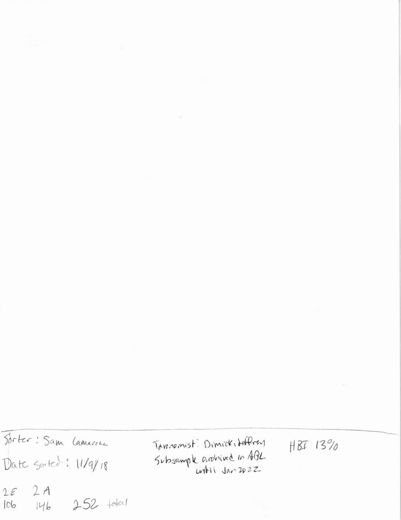Forter: Sam Lamerene Date Sorted: 11/9/18  $2A$  $2E$ 146 252 total  $106$ 

Taxemenist: Dimick, defferent Subsample archived in ABL

HBI 13%